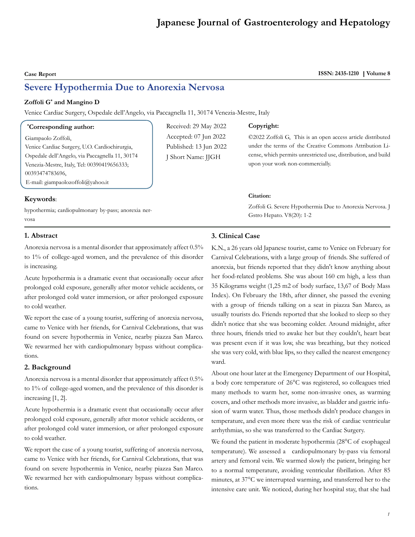# **Japanese Journal of Gastroenterology and Hepatology**

**Case Report** ISSN: 2435-1210 | Volume 8

# **Severe Hypothermia Due to Anorexia Nervosa**

#### **Zoffoli G\* and Mangino D**

Venice Cardiac Surgery, Ospedale dell'Angelo, via Paccagnella 11, 30174 Venezia-Mestre, Italy

#### **\* Corresponding author:**

Giampaolo Zoffoli, Venice Cardiac Surgery, U.O. Cardiochirurgia, Ospedale dell'Angelo, via Paccagnella 11, 30174 Venezia-Mestre, Italy, Tel: 00390419656333; 00393474783696, E-mail: giampaolozoffoli@yahoo.it

## Received: 29 May 2022 Accepted: 07 Jun 2022 Published: 13 Jun 2022 J Short Name: JJGH

#### **Copyright:**

©2022 Zoffoli G, This is an open access article distributed under the terms of the Creative Commons Attribution License, which permits unrestricted use, distribution, and build upon your work non-commercially.

#### **Citation:**

Zoffoli G. Severe Hypothermia Due to Anorexia Nervosa. J Gstro Hepato. V8(20): 1-2

# **Keywords**:

hypothermia; cardiopulmonary by-pass; anorexia nervosa

#### **1. Abstract**

Anorexia nervosa is a mental disorder that approximately affect 0.5% to 1% of college-aged women, and the prevalence of this disorder is increasing.

Acute hypothermia is a dramatic event that occasionally occur after prolonged cold exposure, generally after motor vehicle accidents, or after prolonged cold water immersion, or after prolonged exposure to cold weather.

We report the case of a young tourist, suffering of anorexia nervosa, came to Venice with her friends, for Carnival Celebrations, that was found on severe hypothermia in Venice, nearby piazza San Marco. We rewarmed her with cardiopulmonary bypass without complications.

#### **2. Background**

Anorexia nervosa is a mental disorder that approximately affect 0.5% to 1% of college-aged women, and the prevalence of this disorder is increasing [1, 2].

Acute hypothermia is a dramatic event that occasionally occur after prolonged cold exposure, generally after motor vehicle accidents, or after prolonged cold water immersion, or after prolonged exposure to cold weather.

We report the case of a young tourist, suffering of anorexia nervosa, came to Venice with her friends, for Carnival Celebrations, that was found on severe hypothermia in Venice, nearby piazza San Marco. We rewarmed her with cardiopulmonary bypass without complications.

#### **3. Clinical Case**

K.N., a 26 years old Japanese tourist, came to Venice on February for Carnival Celebrations, with a large group of friends. She suffered of anorexia, but friends reported that they didn't know anything about her food-related problems. She was about 160 cm high, a less than 35 Kilograms weight (1,25 m2 of body surface, 13,67 of Body Mass Index). On February the 18th, after dinner, she passed the evening with a group of friends talking on a seat in piazza San Marco, as usually tourists do. Friends reported that she looked to sleep so they didn't notice that she was becoming colder. Around midnight, after three hours, friends tried to awake her but they couldn't, heart beat was present even if it was low, she was breathing, but they noticed she was very cold, with blue lips, so they called the nearest emergency ward.

About one hour later at the Emergency Department of our Hospital, a body core temperature of 26°C was registered, so colleagues tried many methods to warm her, some non-invasive ones, as warming covers, and other methods more invasive, as bladder and gastric infusion of warm water. Thus, those methods didn't produce changes in temperature, and even more there was the risk of cardiac ventricular arrhythmias, so she was transferred to the Cardiac Surgery.

We found the patient in moderate hypothermia (28°C of esophageal temperature). We assessed a cardiopulmonary by-pass via femoral artery and femoral vein. We warmed slowly the patient, bringing her to a normal temperature, avoiding ventricular fibrillation. After 85 minutes, at 37°C we interrupted warming, and transferred her to the intensive care unit. We noticed, during her hospital stay, that she had